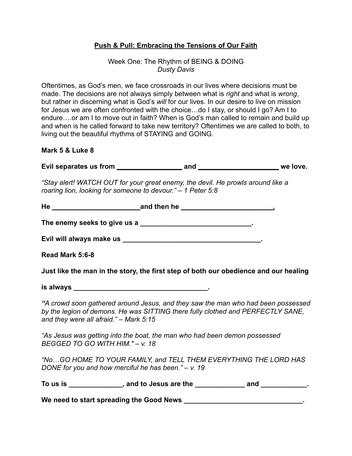## **Push & Pull: Embracing the Tensions of Our Faith**

### Week One: The Rhythm of BEING & DOING *Dusty Davis*

Oftentimes, as God's men, we face crossroads in our lives where decisions must be made. The decisions are not always simply between what is *right* and what is *wrong*, but rather in discerning what is God's *will* for our lives. In our desire to live on mission for Jesus we are often confronted with the choice…do I stay, or should I go? Am I to endure….or am I to move out in faith? When is God's man called to remain and build up and when is he called forward to take new territory? Oftentimes we are called to both, to living out the beautiful rhythms of STAYING and GOING.

#### **Mark 5 & Luke 8**

**Evil separates us from \_\_\_\_\_\_\_\_\_\_\_\_\_\_\_\_\_ and \_\_\_\_\_\_\_\_\_\_\_\_\_\_\_\_\_\_\_\_\_ we love.**

*"Stay alert! WATCH OUT for your great enemy, the devil. He prowls around like a roaring lion, looking for someone to devour." – 1 Peter 5:8*

| The enemy seeks to give us a ________________________________.                                                                                                                                                |  |                                                                            |
|---------------------------------------------------------------------------------------------------------------------------------------------------------------------------------------------------------------|--|----------------------------------------------------------------------------|
|                                                                                                                                                                                                               |  |                                                                            |
| Read Mark 5:6-8                                                                                                                                                                                               |  |                                                                            |
| Just like the man in the story, the first step of both our obedience and our healing                                                                                                                          |  |                                                                            |
|                                                                                                                                                                                                               |  |                                                                            |
| "A crowd soon gathered around Jesus, and they saw the man who had been possessed<br>by the legion of demons. He was SITTING there fully clothed and PERFECTLY SANE,<br>and they were all afraid." – Mark 5:15 |  |                                                                            |
| "As Jesus was getting into the boat, the man who had been demon possessed<br>BEGGED TO GO WITH HIM." - v. 18                                                                                                  |  |                                                                            |
| "NoGO HOME TO YOUR FAMILY, and TELL THEM EVERYTHING THE LORD HAS<br>DONE for you and how merciful he has been." - v. 19                                                                                       |  |                                                                            |
|                                                                                                                                                                                                               |  | To us is ______________, and to Jesus are the ____________ and __________. |
| We need to start spreading the Good News _________________________________.                                                                                                                                   |  |                                                                            |